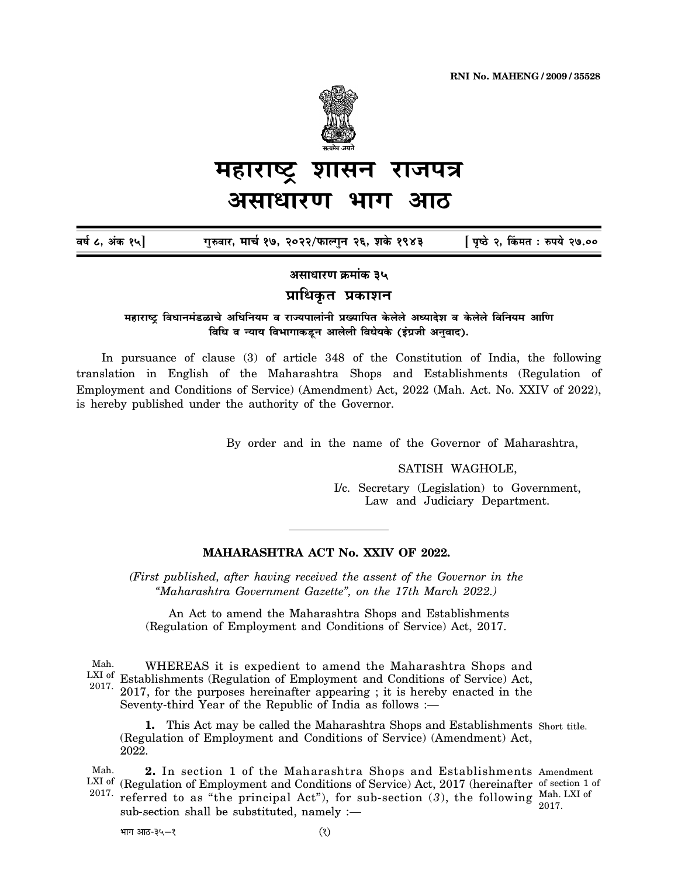

## शासन महाराष्ट राजपत्र असाधारण

वर्ष ८, अंक १५] गुरुवार, मार्च १७, २०२२/फाल्गुन २६, शके १९४३ [ पृष्ठे २, किंमत : रुपये २७.००

असाधारण क्रमांक ३५

प्राधिकृत प्रकाशन

महाराष्ट्र विधानमंडळाचे अधिनियम व राज्यपालांनी प्रख्यापित केलेले अध्यादेश व केलेले विनियम आणि विधि व न्याय विभागाकडून आलेली विधेयके (इंग्रजी अनुवाद).

In pursuance of clause (3) of article 348 of the Constitution of India, the following translation in English of the Maharashtra Shops and Establishments (Regulation of Employment and Conditions of Service) (Amendment) Act, 2022 (Mah. Act. No. XXIV of 2022), is hereby published under the authority of the Governor.

By order and in the name of the Governor of Maharashtra,

SATISH WAGHOLE,

I/c. Secretary (Legislation) to Government, Law and Judiciary Department.

## MAHARASHTRA ACT No. XXIV OF 2022.

(First published, after having received the assent of the Governor in the "Maharashtra Government Gazette", on the 17th March 2022.)

An Act to amend the Maharashtra Shops and Establishments (Regulation of Employment and Conditions of Service) Act, 2017.

WHEREAS it is expedient to amend the Maharashtra Shops and Mah.  $\frac{LXI}{N}$  of Establishments (Regulation of Employment and Conditions of Service) Act, 2017, for the purposes hereinafter appearing ; it is hereby enacted in the Seventy-third Year of the Republic of India as follows :— 2017.  $2017$  for the nu

1. This Act may be called the Maharashtra Shops and Establishments Short title. (Regulation of Employment and Conditions of Service) (Amendment) Act, 2022.

2. In section 1 of the Maharashtra Shops and Establishments Amendment Mah.  $\frac{\text{LXI of}}{\text{Cov}}$  (Regulation of Employment and Conditions of Service) Act, 2017 (hereinafter of section 1 of  $2017.$  referred to as " referred to as "the principal Act"), for sub-section  $(3)$ , the following Mah. LXI of 2017. sub-section shall be substituted, namely :-